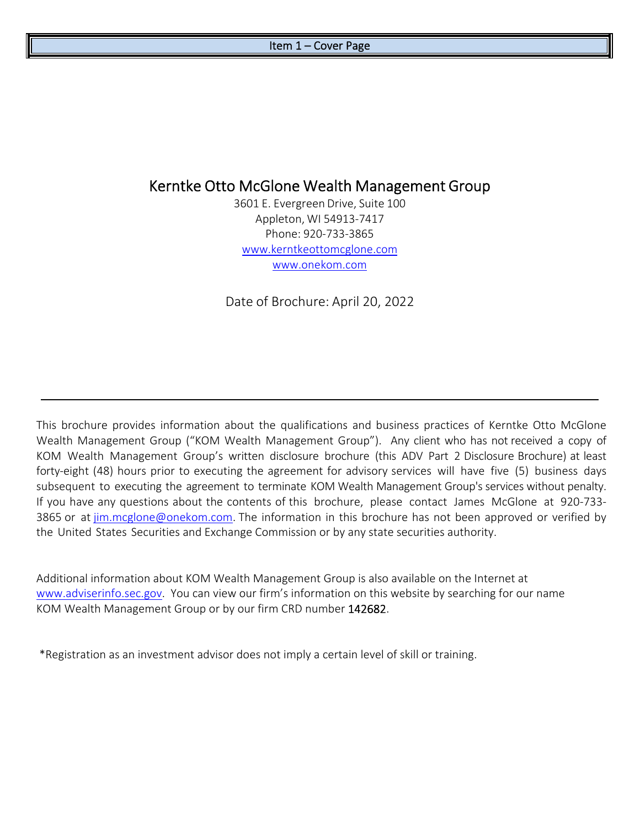# Kerntke Otto McGlone Wealth Management Group

3601 E. Evergreen Drive, Suite 100 Appleton, WI 54913‐7417 Phone: 920‐733‐3865 www.kerntkeottomcglone.com www.onekom.com

Date of Brochure: April 20, 2022

This brochure provides information about the qualifications and business practices of Kerntke Otto McGlone Wealth Management Group ("KOM Wealth Management Group"). Any client who has not received a copy of KOM Wealth Management Group's written disclosure brochure (this ADV Part 2 Disclosure Brochure) at least forty-eight (48) hours prior to executing the agreement for advisory services will have five (5) business days subsequent to executing the agreement to terminate KOM Wealth Management Group's services without penalty. If you have any questions about the contents of this brochure, please contact James McGlone at 920‐733‐ 3865 or at jim.mcglone@onekom.com. The information in this brochure has not been approved or verified by the United States Securities and Exchange Commission or by any state securities authority.

Additional information about KOM Wealth Management Group is also available on the Internet at www.adviserinfo.sec.gov. You can view our firm's information on this website by searching for our name KOM Wealth Management Group or by our firm CRD number 142682.

\*Registration as an investment advisor does not imply a certain level of skill or training.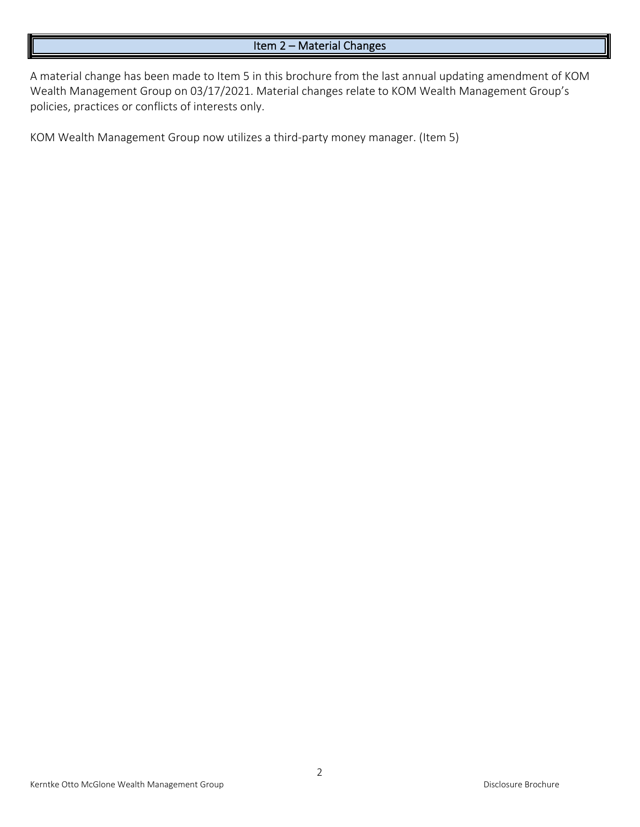#### Item 2 – Material Changes

A material change has been made to Item 5 in this brochure from the last annual updating amendment of KOM Wealth Management Group on 03/17/2021. Material changes relate to KOM Wealth Management Group's policies, practices or conflicts of interests only.

KOM Wealth Management Group now utilizes a third‐party money manager. (Item 5)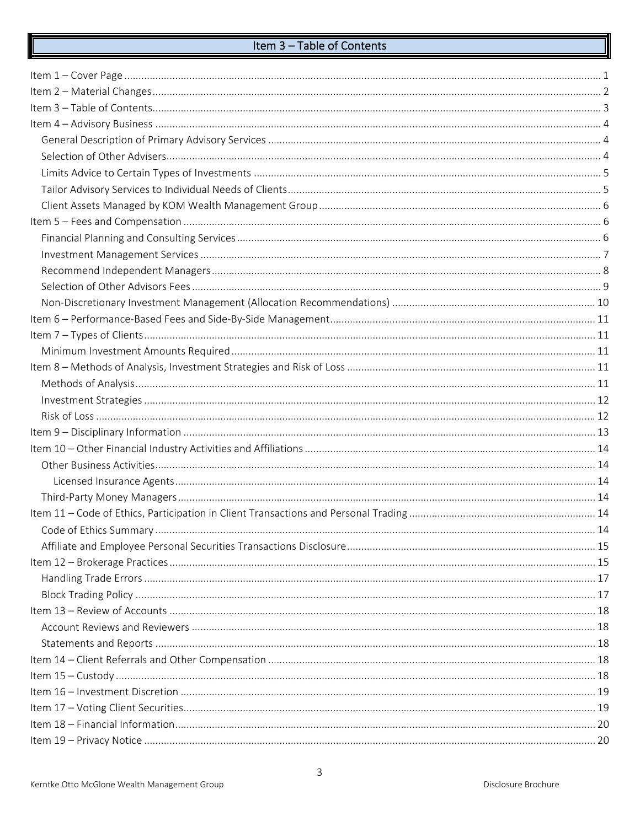# Item 3 - Table of Contents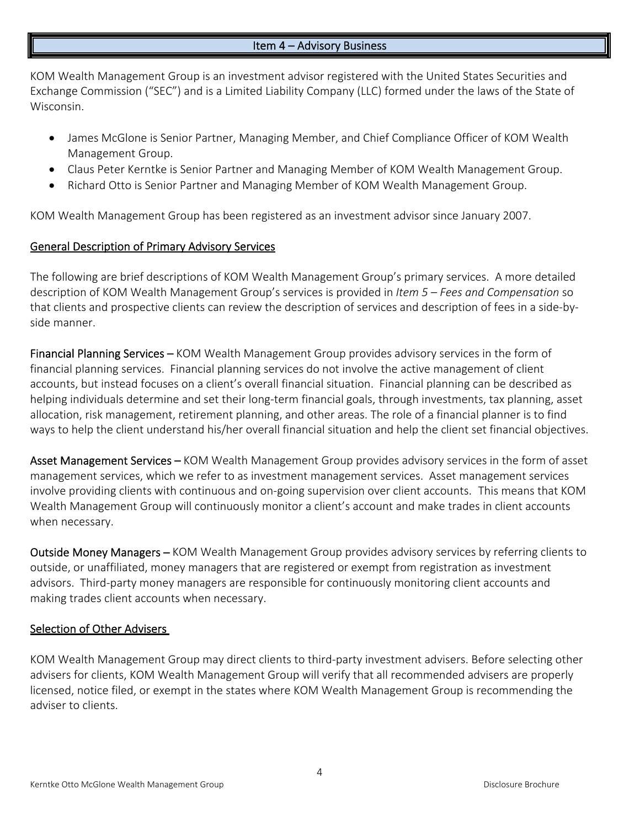#### Item 4 – Advisory Business

KOM Wealth Management Group is an investment advisor registered with the United States Securities and Exchange Commission ("SEC") and is a Limited Liability Company (LLC) formed under the laws of the State of Wisconsin.

- James McGlone is Senior Partner, Managing Member, and Chief Compliance Officer of KOM Wealth Management Group.
- Claus Peter Kerntke is Senior Partner and Managing Member of KOM Wealth Management Group.
- Richard Otto is Senior Partner and Managing Member of KOM Wealth Management Group.

KOM Wealth Management Group has been registered as an investment advisor since January 2007.

# General Description of Primary Advisory Services

The following are brief descriptions of KOM Wealth Management Group's primary services. A more detailed description of KOM Wealth Management Group's services is provided in *Item 5 – Fees and Compensation* so that clients and prospective clients can review the description of services and description of fees in a side‐by‐ side manner.

Financial Planning Services – KOM Wealth Management Group provides advisory services in the form of financial planning services. Financial planning services do not involve the active management of client accounts, but instead focuses on a client's overall financial situation. Financial planning can be described as helping individuals determine and set their long-term financial goals, through investments, tax planning, asset allocation, risk management, retirement planning, and other areas. The role of a financial planner is to find ways to help the client understand his/her overall financial situation and help the client set financial objectives.

Asset Management Services – KOM Wealth Management Group provides advisory services in the form of asset management services, which we refer to as investment management services. Asset management services involve providing clients with continuous and on‐going supervision over client accounts. This means that KOM Wealth Management Group will continuously monitor a client's account and make trades in client accounts when necessary.

Outside Money Managers – KOM Wealth Management Group provides advisory services by referring clients to outside, or unaffiliated, money managers that are registered or exempt from registration as investment advisors. Third-party money managers are responsible for continuously monitoring client accounts and making trades client accounts when necessary.

# Selection of Other Advisers

KOM Wealth Management Group may direct clients to third‐party investment advisers. Before selecting other advisers for clients, KOM Wealth Management Group will verify that all recommended advisers are properly licensed, notice filed, or exempt in the states where KOM Wealth Management Group is recommending the adviser to clients.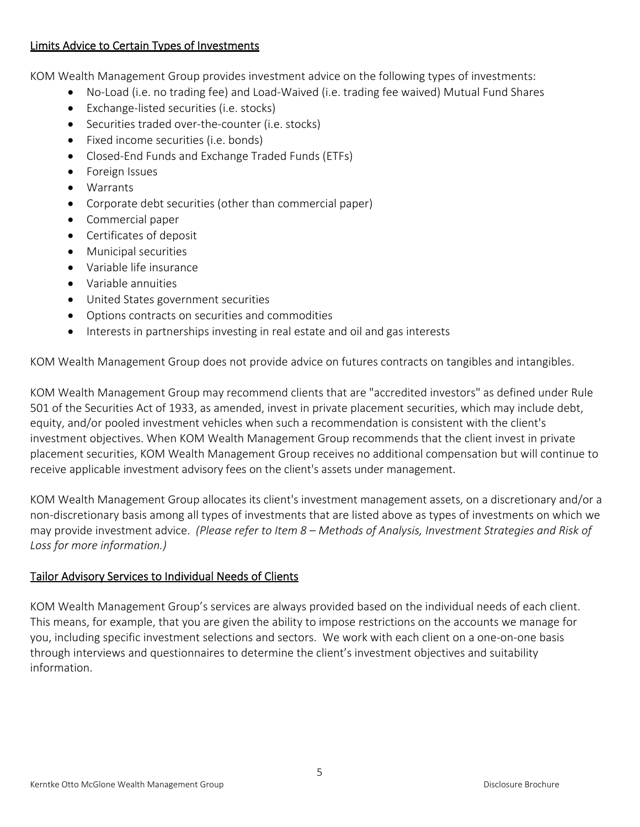### Limits Advice to Certain Types of Investments

KOM Wealth Management Group provides investment advice on the following types of investments:

- No-Load (i.e. no trading fee) and Load-Waived (i.e. trading fee waived) Mutual Fund Shares
- Exchange-listed securities (i.e. stocks)
- Securities traded over-the-counter (i.e. stocks)
- Fixed income securities (i.e. bonds)
- Closed-End Funds and Exchange Traded Funds (ETFs)
- **•** Foreign Issues
- Warrants
- Corporate debt securities (other than commercial paper)
- Commercial paper
- Certificates of deposit
- **•** Municipal securities
- Variable life insurance
- Variable annuities
- United States government securities
- Options contracts on securities and commodities
- Interests in partnerships investing in real estate and oil and gas interests

KOM Wealth Management Group does not provide advice on futures contracts on tangibles and intangibles.

KOM Wealth Management Group may recommend clients that are "accredited investors" as defined under Rule 501 of the Securities Act of 1933, as amended, invest in private placement securities, which may include debt, equity, and/or pooled investment vehicles when such a recommendation is consistent with the client's investment objectives. When KOM Wealth Management Group recommends that the client invest in private placement securities, KOM Wealth Management Group receives no additional compensation but will continue to receive applicable investment advisory fees on the client's assets under management.

KOM Wealth Management Group allocates its client's investment management assets, on a discretionary and/or a non‐discretionary basis among all types of investments that are listed above as types of investments on which we may provide investment advice. *(Please refer to Item 8 – Methods of Analysis, Investment Strategies and Risk of Loss for more information.)* 

# Tailor Advisory Services to Individual Needs of Clients

KOM Wealth Management Group's services are always provided based on the individual needs of each client. This means, for example, that you are given the ability to impose restrictions on the accounts we manage for you, including specific investment selections and sectors. We work with each client on a one‐on‐one basis through interviews and questionnaires to determine the client's investment objectives and suitability information.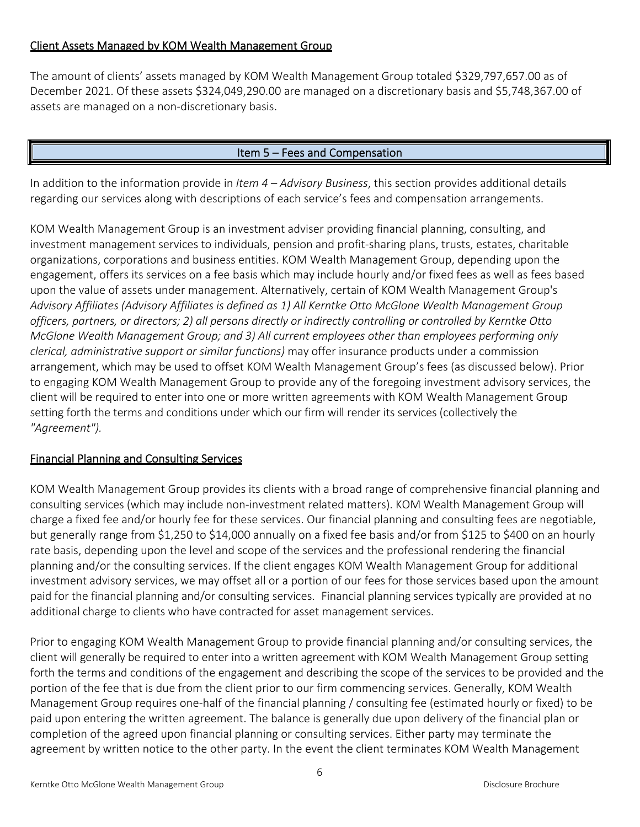# Client Assets Managed by KOM Wealth Management Group

The amount of clients' assets managed by KOM Wealth Management Group totaled \$329,797,657.00 as of December 2021. Of these assets \$324,049,290.00 are managed on a discretionary basis and \$5,748,367.00 of assets are managed on a non-discretionary basis.

# Item 5 – Fees and Compensation

In addition to the information provide in *Item 4 – Advisory Business*, this section provides additional details regarding our services along with descriptions of each service's fees and compensation arrangements.

KOM Wealth Management Group is an investment adviser providing financial planning, consulting, and investment management services to individuals, pension and profit‐sharing plans, trusts, estates, charitable organizations, corporations and business entities. KOM Wealth Management Group, depending upon the engagement, offers its services on a fee basis which may include hourly and/or fixed fees as well as fees based upon the value of assets under management. Alternatively, certain of KOM Wealth Management Group's *Advisory Affiliates (Advisory Affiliates is defined as 1) All Kerntke Otto McGlone Wealth Management Group officers, partners, or directors; 2) all persons directly or indirectly controlling or controlled by Kerntke Otto McGlone Wealth Management Group; and 3) All current employees other than employees performing only clerical, administrative support or similar functions)* may offer insurance products under a commission arrangement, which may be used to offset KOM Wealth Management Group's fees (as discussed below). Prior to engaging KOM Wealth Management Group to provide any of the foregoing investment advisory services, the client will be required to enter into one or more written agreements with KOM Wealth Management Group setting forth the terms and conditions under which our firm will render its services (collectively the *"Agreement").*

# Financial Planning and Consulting Services

KOM Wealth Management Group provides its clients with a broad range of comprehensive financial planning and consulting services (which may include non‐investment related matters). KOM Wealth Management Group will charge a fixed fee and/or hourly fee for these services. Our financial planning and consulting fees are negotiable, but generally range from \$1,250 to \$14,000 annually on a fixed fee basis and/or from \$125 to \$400 on an hourly rate basis, depending upon the level and scope of the services and the professional rendering the financial planning and/or the consulting services. If the client engages KOM Wealth Management Group for additional investment advisory services, we may offset all or a portion of our fees for those services based upon the amount paid for the financial planning and/or consulting services. Financial planning services typically are provided at no additional charge to clients who have contracted for asset management services.

Prior to engaging KOM Wealth Management Group to provide financial planning and/or consulting services, the client will generally be required to enter into a written agreement with KOM Wealth Management Group setting forth the terms and conditions of the engagement and describing the scope of the services to be provided and the portion of the fee that is due from the client prior to our firm commencing services. Generally, KOM Wealth Management Group requires one‐half of the financial planning / consulting fee (estimated hourly or fixed) to be paid upon entering the written agreement. The balance is generally due upon delivery of the financial plan or completion of the agreed upon financial planning or consulting services. Either party may terminate the agreement by written notice to the other party. In the event the client terminates KOM Wealth Management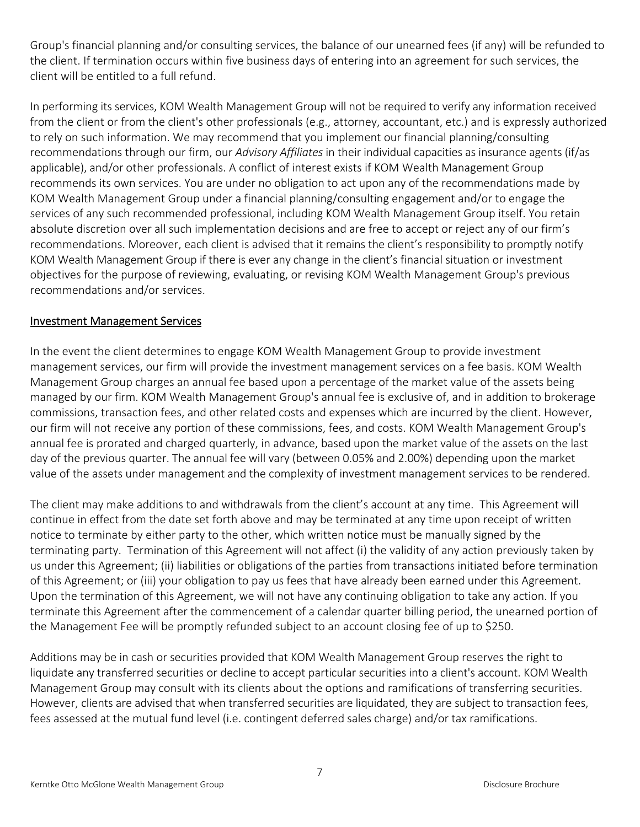Group's financial planning and/or consulting services, the balance of our unearned fees (if any) will be refunded to the client. If termination occurs within five business days of entering into an agreement for such services, the client will be entitled to a full refund.

In performing its services, KOM Wealth Management Group will not be required to verify any information received from the client or from the client's other professionals (e.g., attorney, accountant, etc.) and is expressly authorized to rely on such information. We may recommend that you implement our financial planning/consulting recommendations through our firm, our *Advisory Affiliates* in their individual capacities as insurance agents (if/as applicable), and/or other professionals. A conflict of interest exists if KOM Wealth Management Group recommends its own services. You are under no obligation to act upon any of the recommendations made by KOM Wealth Management Group under a financial planning/consulting engagement and/or to engage the services of any such recommended professional, including KOM Wealth Management Group itself. You retain absolute discretion over all such implementation decisions and are free to accept or reject any of our firm's recommendations. Moreover, each client is advised that it remains the client's responsibility to promptly notify KOM Wealth Management Group if there is ever any change in the client's financial situation or investment objectives for the purpose of reviewing, evaluating, or revising KOM Wealth Management Group's previous recommendations and/or services.

#### Investment Management Services

In the event the client determines to engage KOM Wealth Management Group to provide investment management services, our firm will provide the investment management services on a fee basis. KOM Wealth Management Group charges an annual fee based upon a percentage of the market value of the assets being managed by our firm. KOM Wealth Management Group's annual fee is exclusive of, and in addition to brokerage commissions, transaction fees, and other related costs and expenses which are incurred by the client. However, our firm will not receive any portion of these commissions, fees, and costs. KOM Wealth Management Group's annual fee is prorated and charged quarterly, in advance, based upon the market value of the assets on the last day of the previous quarter. The annual fee will vary (between 0.05% and 2.00%) depending upon the market value of the assets under management and the complexity of investment management services to be rendered.

The client may make additions to and withdrawals from the client's account at any time. This Agreement will continue in effect from the date set forth above and may be terminated at any time upon receipt of written notice to terminate by either party to the other, which written notice must be manually signed by the terminating party. Termination of this Agreement will not affect (i) the validity of any action previously taken by us under this Agreement; (ii) liabilities or obligations of the parties from transactions initiated before termination of this Agreement; or (iii) your obligation to pay us fees that have already been earned under this Agreement. Upon the termination of this Agreement, we will not have any continuing obligation to take any action. If you terminate this Agreement after the commencement of a calendar quarter billing period, the unearned portion of the Management Fee will be promptly refunded subject to an account closing fee of up to \$250.

Additions may be in cash or securities provided that KOM Wealth Management Group reserves the right to liquidate any transferred securities or decline to accept particular securities into a client's account. KOM Wealth Management Group may consult with its clients about the options and ramifications of transferring securities. However, clients are advised that when transferred securities are liquidated, they are subject to transaction fees, fees assessed at the mutual fund level (i.e. contingent deferred sales charge) and/or tax ramifications.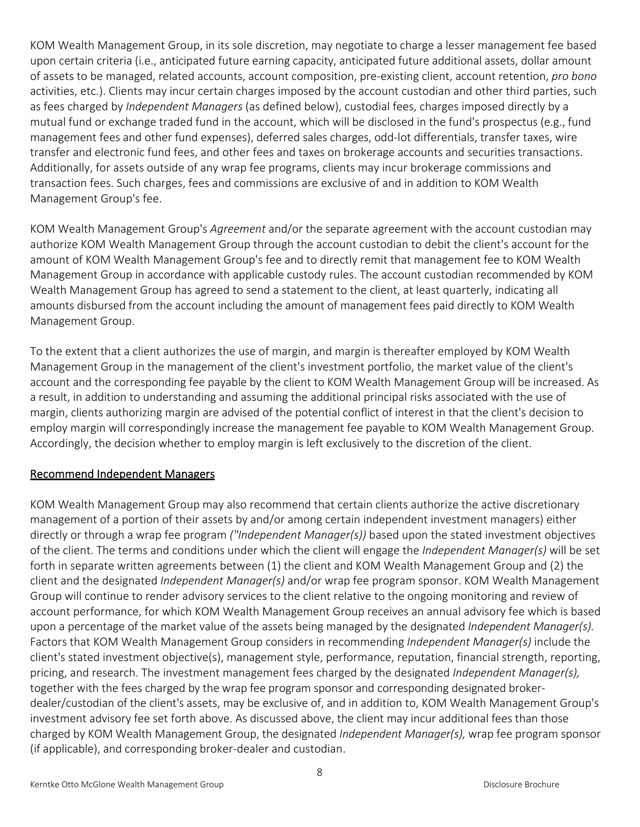KOM Wealth Management Group, in its sole discretion, may negotiate to charge a lesser management fee based upon certain criteria (i.e., anticipated future earning capacity, anticipated future additional assets, dollar amount of assets to be managed, related accounts, account composition, pre‐existing client, account retention, *pro bono*  activities, etc.). Clients may incur certain charges imposed by the account custodian and other third parties, such as fees charged by *Independent Managers* (as defined below), custodial fees, charges imposed directly by a mutual fund or exchange traded fund in the account, which will be disclosed in the fund's prospectus (e.g., fund management fees and other fund expenses), deferred sales charges, odd‐lot differentials, transfer taxes, wire transfer and electronic fund fees, and other fees and taxes on brokerage accounts and securities transactions. Additionally, for assets outside of any wrap fee programs, clients may incur brokerage commissions and transaction fees. Such charges, fees and commissions are exclusive of and in addition to KOM Wealth Management Group's fee.

KOM Wealth Management Group's *Agreement* and/or the separate agreement with the account custodian may authorize KOM Wealth Management Group through the account custodian to debit the client's account for the amount of KOM Wealth Management Group's fee and to directly remit that management fee to KOM Wealth Management Group in accordance with applicable custody rules. The account custodian recommended by KOM Wealth Management Group has agreed to send a statement to the client, at least quarterly, indicating all amounts disbursed from the account including the amount of management fees paid directly to KOM Wealth Management Group.

To the extent that a client authorizes the use of margin, and margin is thereafter employed by KOM Wealth Management Group in the management of the client's investment portfolio, the market value of the client's account and the corresponding fee payable by the client to KOM Wealth Management Group will be increased. As a result, in addition to understanding and assuming the additional principal risks associated with the use of margin, clients authorizing margin are advised of the potential conflict of interest in that the client's decision to employ margin will correspondingly increase the management fee payable to KOM Wealth Management Group. Accordingly, the decision whether to employ margin is left exclusively to the discretion of the client.

# Recommend Independent Managers

KOM Wealth Management Group may also recommend that certain clients authorize the active discretionary management of a portion of their assets by and/or among certain independent investment managers) either directly or through a wrap fee program *("Independent Manager(s))* based upon the stated investment objectives of the client. The terms and conditions under which the client will engage the *Independent Manager(s)* will be set forth in separate written agreements between (1) the client and KOM Wealth Management Group and (2) the client and the designated *Independent Manager(s)* and/or wrap fee program sponsor. KOM Wealth Management Group will continue to render advisory services to the client relative to the ongoing monitoring and review of account performance, for which KOM Wealth Management Group receives an annual advisory fee which is based upon a percentage of the market value of the assets being managed by the designated *Independent Manager(s).*  Factors that KOM Wealth Management Group considers in recommending *Independent Manager(s)* include the client's stated investment objective(s), management style, performance, reputation, financial strength, reporting, pricing, and research. The investment management fees charged by the designated *Independent Manager(s),*  together with the fees charged by the wrap fee program sponsor and corresponding designated broker‐ dealer/custodian of the client's assets, may be exclusive of, and in addition to, KOM Wealth Management Group's investment advisory fee set forth above. As discussed above, the client may incur additional fees than those charged by KOM Wealth Management Group, the designated *Independent Manager(s),* wrap fee program sponsor (if applicable), and corresponding broker‐dealer and custodian.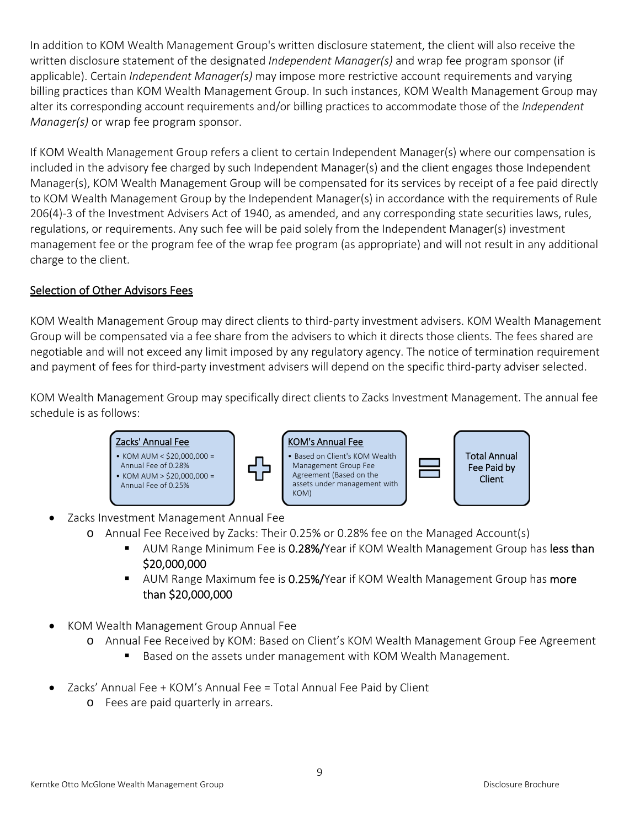In addition to KOM Wealth Management Group's written disclosure statement, the client will also receive the written disclosure statement of the designated *Independent Manager(s)* and wrap fee program sponsor (if applicable). Certain *Independent Manager(s)* may impose more restrictive account requirements and varying billing practices than KOM Wealth Management Group. In such instances, KOM Wealth Management Group may alter its corresponding account requirements and/or billing practices to accommodate those of the *Independent Manager(s)* or wrap fee program sponsor.

If KOM Wealth Management Group refers a client to certain Independent Manager(s) where our compensation is included in the advisory fee charged by such Independent Manager(s) and the client engages those Independent Manager(s), KOM Wealth Management Group will be compensated for its services by receipt of a fee paid directly to KOM Wealth Management Group by the Independent Manager(s) in accordance with the requirements of Rule 206(4)‐3 of the Investment Advisers Act of 1940, as amended, and any corresponding state securities laws, rules, regulations, or requirements. Any such fee will be paid solely from the Independent Manager(s) investment management fee or the program fee of the wrap fee program (as appropriate) and will not result in any additional charge to the client.

# Selection of Other Advisors Fees

KOM Wealth Management Group may direct clients to third‐party investment advisers. KOM Wealth Management Group will be compensated via a fee share from the advisers to which it directs those clients. The fees shared are negotiable and will not exceed any limit imposed by any regulatory agency. The notice of termination requirement and payment of fees for third-party investment advisers will depend on the specific third-party adviser selected.

KOM Wealth Management Group may specifically direct clients to Zacks Investment Management. The annual fee schedule is as follows:



- Zacks Investment Management Annual Fee
	- o Annual Fee Received by Zacks: Their 0.25% or 0.28% fee on the Managed Account(s)
		- **AUM Range Minimum Fee is 0.28%/Year if KOM Wealth Management Group has less than** \$20,000,000
		- AUM Range Maximum fee is 0.25%/Year if KOM Wealth Management Group has more than \$20,000,000
- KOM Wealth Management Group Annual Fee
	- o Annual Fee Received by KOM: Based on Client's KOM Wealth Management Group Fee Agreement
		- Based on the assets under management with KOM Wealth Management.
- Zacks' Annual Fee + KOM's Annual Fee = Total Annual Fee Paid by Client
	- o Fees are paid quarterly in arrears.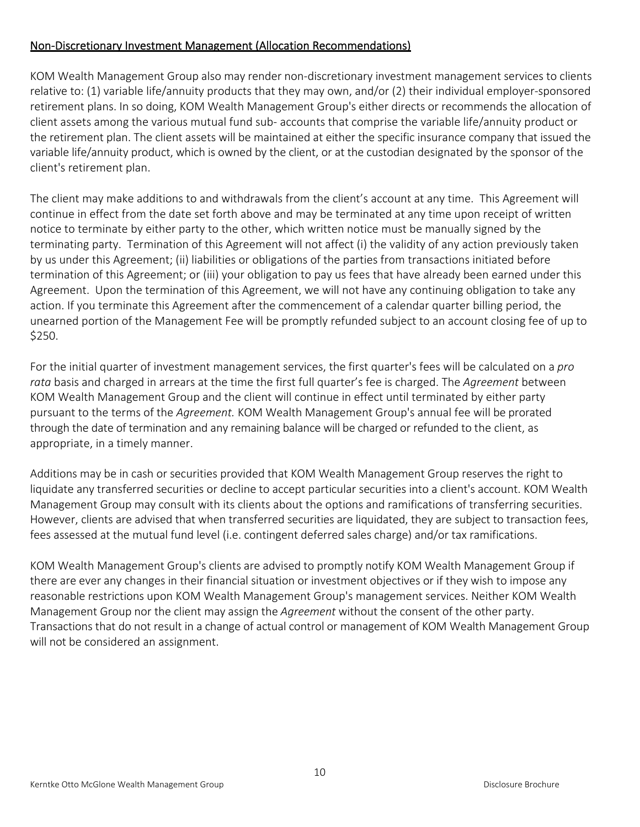# Non‐Discretionary Investment Management (Allocation Recommendations)

KOM Wealth Management Group also may render non‐discretionary investment management services to clients relative to: (1) variable life/annuity products that they may own, and/or (2) their individual employer‐sponsored retirement plans. In so doing, KOM Wealth Management Group's either directs or recommends the allocation of client assets among the various mutual fund sub‐ accounts that comprise the variable life/annuity product or the retirement plan. The client assets will be maintained at either the specific insurance company that issued the variable life/annuity product, which is owned by the client, or at the custodian designated by the sponsor of the client's retirement plan.

The client may make additions to and withdrawals from the client's account at any time. This Agreement will continue in effect from the date set forth above and may be terminated at any time upon receipt of written notice to terminate by either party to the other, which written notice must be manually signed by the terminating party. Termination of this Agreement will not affect (i) the validity of any action previously taken by us under this Agreement; (ii) liabilities or obligations of the parties from transactions initiated before termination of this Agreement; or (iii) your obligation to pay us fees that have already been earned under this Agreement. Upon the termination of this Agreement, we will not have any continuing obligation to take any action. If you terminate this Agreement after the commencement of a calendar quarter billing period, the unearned portion of the Management Fee will be promptly refunded subject to an account closing fee of up to \$250.

For the initial quarter of investment management services, the first quarter's fees will be calculated on a *pro rata* basis and charged in arrears at the time the first full quarter's fee is charged. The *Agreement* between KOM Wealth Management Group and the client will continue in effect until terminated by either party pursuant to the terms of the *Agreement.* KOM Wealth Management Group's annual fee will be prorated through the date of termination and any remaining balance will be charged or refunded to the client, as appropriate, in a timely manner.

Additions may be in cash or securities provided that KOM Wealth Management Group reserves the right to liquidate any transferred securities or decline to accept particular securities into a client's account. KOM Wealth Management Group may consult with its clients about the options and ramifications of transferring securities. However, clients are advised that when transferred securities are liquidated, they are subject to transaction fees, fees assessed at the mutual fund level (i.e. contingent deferred sales charge) and/or tax ramifications.

KOM Wealth Management Group's clients are advised to promptly notify KOM Wealth Management Group if there are ever any changes in their financial situation or investment objectives or if they wish to impose any reasonable restrictions upon KOM Wealth Management Group's management services. Neither KOM Wealth Management Group nor the client may assign the *Agreement* without the consent of the other party. Transactions that do not result in a change of actual control or management of KOM Wealth Management Group will not be considered an assignment.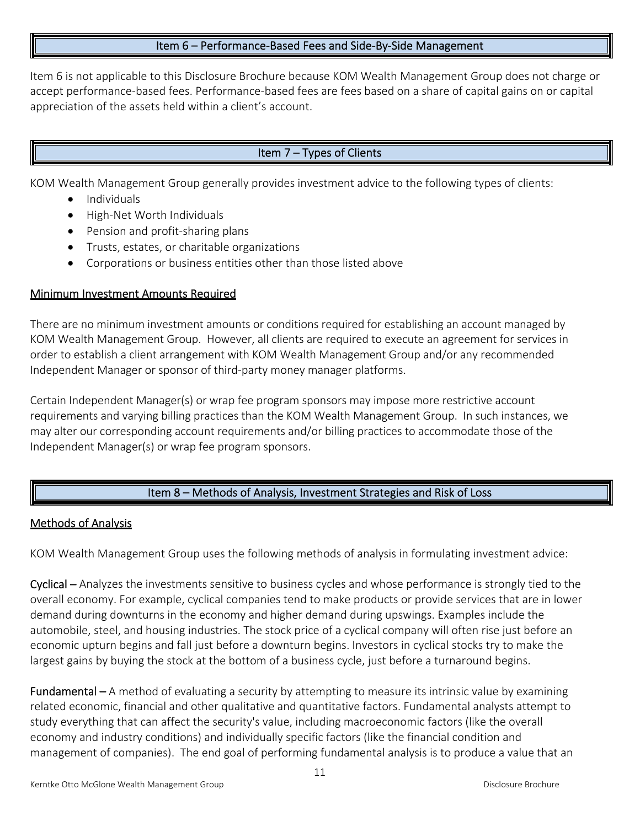#### Item 6 – Performance‐Based Fees and Side‐By‐Side Management

Item 6 is not applicable to this Disclosure Brochure because KOM Wealth Management Group does not charge or accept performance‐based fees. Performance‐based fees are fees based on a share of capital gains on or capital appreciation of the assets held within a client's account.

# Item 7 – Types of Clients

KOM Wealth Management Group generally provides investment advice to the following types of clients:

- Individuals
- High-Net Worth Individuals
- Pension and profit-sharing plans
- Trusts, estates, or charitable organizations
- Corporations or business entities other than those listed above

#### Minimum Investment Amounts Required

There are no minimum investment amounts or conditions required for establishing an account managed by KOM Wealth Management Group. However, all clients are required to execute an agreement for services in order to establish a client arrangement with KOM Wealth Management Group and/or any recommended Independent Manager or sponsor of third‐party money manager platforms.

Certain Independent Manager(s) or wrap fee program sponsors may impose more restrictive account requirements and varying billing practices than the KOM Wealth Management Group. In such instances, we may alter our corresponding account requirements and/or billing practices to accommodate those of the Independent Manager(s) or wrap fee program sponsors.

#### Item 8 – Methods of Analysis, Investment Strategies and Risk of Loss

#### Methods of Analysis

KOM Wealth Management Group uses the following methods of analysis in formulating investment advice:

Cyclical – Analyzes the investments sensitive to business cycles and whose performance is strongly tied to the overall economy. For example, cyclical companies tend to make products or provide services that are in lower demand during downturns in the economy and higher demand during upswings. Examples include the automobile, steel, and housing industries. The stock price of a cyclical company will often rise just before an economic upturn begins and fall just before a downturn begins. Investors in cyclical stocks try to make the largest gains by buying the stock at the bottom of a business cycle, just before a turnaround begins.

Fundamental – A method of evaluating a security by attempting to measure its intrinsic value by examining related economic, financial and other qualitative and quantitative factors. Fundamental analysts attempt to study everything that can affect the security's value, including macroeconomic factors (like the overall economy and industry conditions) and individually specific factors (like the financial condition and management of companies). The end goal of performing fundamental analysis is to produce a value that an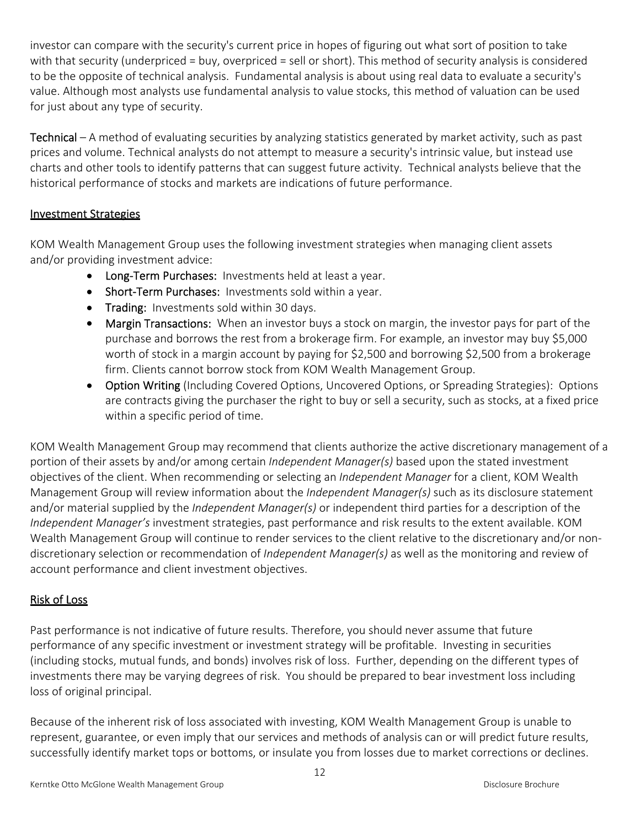investor can compare with the security's current price in hopes of figuring out what sort of position to take with that security (underpriced = buy, overpriced = sell or short). This method of security analysis is considered to be the opposite of technical analysis. Fundamental analysis is about using real data to evaluate a security's value. Although most analysts use fundamental analysis to value stocks, this method of valuation can be used for just about any type of security.

Technical – A method of evaluating securities by analyzing statistics generated by market activity, such as past prices and volume. Technical analysts do not attempt to measure a security's intrinsic value, but instead use charts and other tools to identify patterns that can suggest future activity. Technical analysts believe that the historical performance of stocks and markets are indications of future performance.

# Investment Strategies

KOM Wealth Management Group uses the following investment strategies when managing client assets and/or providing investment advice:

- Long-Term Purchases: Investments held at least a year.
- Short-Term Purchases: Investments sold within a year.
- Trading: Investments sold within 30 days.
- Margin Transactions: When an investor buys a stock on margin, the investor pays for part of the purchase and borrows the rest from a brokerage firm. For example, an investor may buy \$5,000 worth of stock in a margin account by paying for \$2,500 and borrowing \$2,500 from a brokerage firm. Clients cannot borrow stock from KOM Wealth Management Group.
- Option Writing (Including Covered Options, Uncovered Options, or Spreading Strategies): Options are contracts giving the purchaser the right to buy or sell a security, such as stocks, at a fixed price within a specific period of time.

KOM Wealth Management Group may recommend that clients authorize the active discretionary management of a portion of their assets by and/or among certain *Independent Manager(s)* based upon the stated investment objectives of the client. When recommending or selecting an *Independent Manager* for a client, KOM Wealth Management Group will review information about the *Independent Manager(s)* such as its disclosure statement and/or material supplied by the *Independent Manager(s)* or independent third parties for a description of the *Independent Manager's* investment strategies, past performance and risk results to the extent available. KOM Wealth Management Group will continue to render services to the client relative to the discretionary and/or nondiscretionary selection or recommendation of *Independent Manager(s)* as well as the monitoring and review of account performance and client investment objectives.

# Risk of Loss

Past performance is not indicative of future results. Therefore, you should never assume that future performance of any specific investment or investment strategy will be profitable. Investing in securities (including stocks, mutual funds, and bonds) involves risk of loss. Further, depending on the different types of investments there may be varying degrees of risk. You should be prepared to bear investment loss including loss of original principal.

Because of the inherent risk of loss associated with investing, KOM Wealth Management Group is unable to represent, guarantee, or even imply that our services and methods of analysis can or will predict future results, successfully identify market tops or bottoms, or insulate you from losses due to market corrections or declines.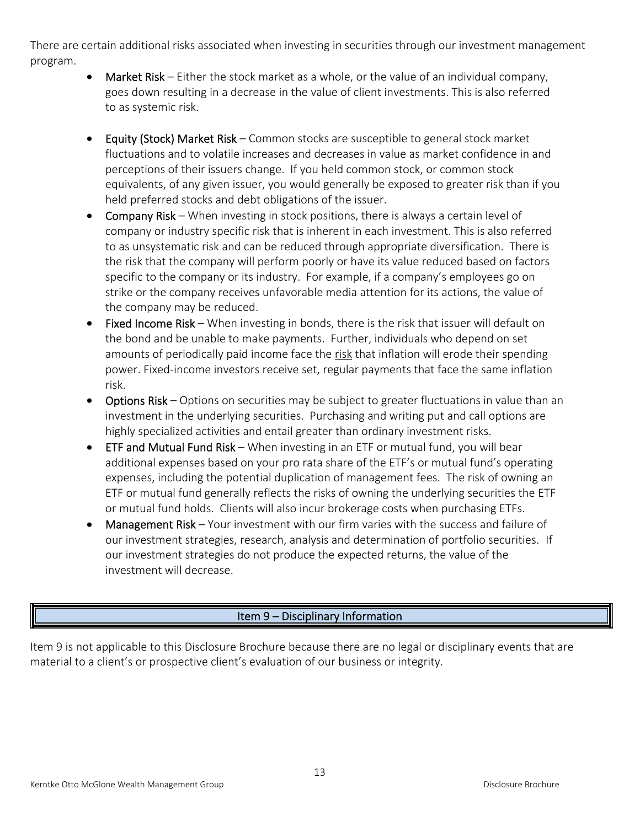There are certain additional risks associated when investing in securities through our investment management program.

- Market Risk Either the stock market as a whole, or the value of an individual company, goes down resulting in a decrease in the value of client investments. This is also referred to as systemic risk.
- **Equity (Stock) Market Risk** Common stocks are susceptible to general stock market fluctuations and to volatile increases and decreases in value as market confidence in and perceptions of their issuers change. If you held common stock, or common stock equivalents, of any given issuer, you would generally be exposed to greater risk than if you held preferred stocks and debt obligations of the issuer.
- Company Risk When investing in stock positions, there is always a certain level of company or industry specific risk that is inherent in each investment. This is also referred to as unsystematic risk and can be reduced through appropriate diversification. There is the risk that the company will perform poorly or have its value reduced based on factors specific to the company or its industry. For example, if a company's employees go on strike or the company receives unfavorable media attention for its actions, the value of the company may be reduced.
- Fixed Income Risk When investing in bonds, there is the risk that issuer will default on the bond and be unable to make payments. Further, individuals who depend on set amounts of periodically paid income face the risk that inflation will erode their spending power. Fixed-income investors receive set, regular payments that face the same inflation risk.
- Options Risk Options on securities may be subject to greater fluctuations in value than an investment in the underlying securities. Purchasing and writing put and call options are highly specialized activities and entail greater than ordinary investment risks.
- **ETF and Mutual Fund Risk** When investing in an ETF or mutual fund, you will bear additional expenses based on your pro rata share of the ETF's or mutual fund's operating expenses, including the potential duplication of management fees. The risk of owning an ETF or mutual fund generally reflects the risks of owning the underlying securities the ETF or mutual fund holds. Clients will also incur brokerage costs when purchasing ETFs.
- Management Risk Your investment with our firm varies with the success and failure of our investment strategies, research, analysis and determination of portfolio securities. If our investment strategies do not produce the expected returns, the value of the investment will decrease.

# Item 9 – Disciplinary Information

Item 9 is not applicable to this Disclosure Brochure because there are no legal or disciplinary events that are material to a client's or prospective client's evaluation of our business or integrity.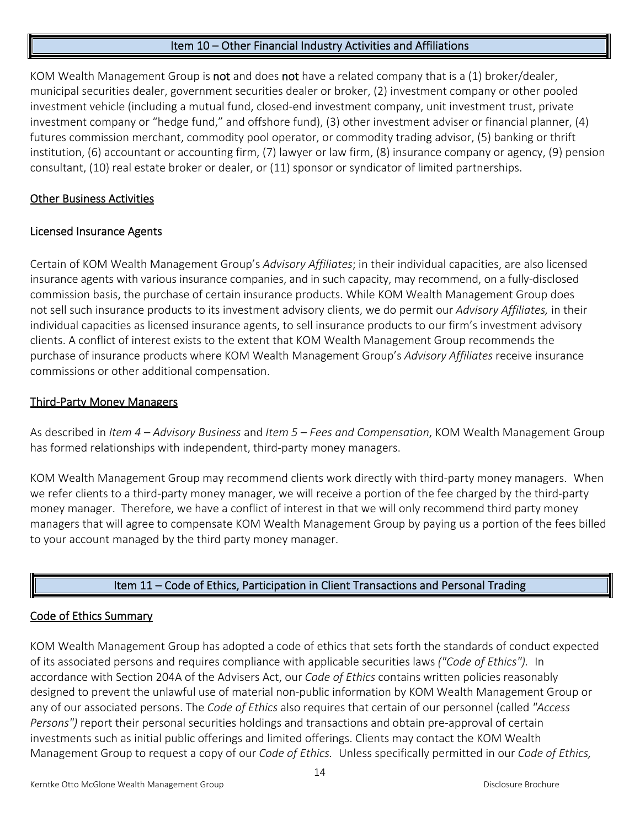#### Item 10 – Other Financial Industry Activities and Affiliations

KOM Wealth Management Group is not and does not have a related company that is a (1) broker/dealer, municipal securities dealer, government securities dealer or broker, (2) investment company or other pooled investment vehicle (including a mutual fund, closed‐end investment company, unit investment trust, private investment company or "hedge fund," and offshore fund), (3) other investment adviser or financial planner, (4) futures commission merchant, commodity pool operator, or commodity trading advisor, (5) banking or thrift institution, (6) accountant or accounting firm, (7) lawyer or law firm, (8) insurance company or agency, (9) pension consultant, (10) real estate broker or dealer, or (11) sponsor or syndicator of limited partnerships.

#### Other Business Activities

#### Licensed Insurance Agents

Certain of KOM Wealth Management Group's *Advisory Affiliates*; in their individual capacities, are also licensed insurance agents with various insurance companies, and in such capacity, may recommend, on a fully‐disclosed commission basis, the purchase of certain insurance products. While KOM Wealth Management Group does not sell such insurance products to its investment advisory clients, we do permit our *Advisory Affiliates,* in their individual capacities as licensed insurance agents, to sell insurance products to our firm's investment advisory clients. A conflict of interest exists to the extent that KOM Wealth Management Group recommends the purchase of insurance products where KOM Wealth Management Group's *Advisory Affiliates* receive insurance commissions or other additional compensation.

#### Third‐Party Money Managers

As described in *Item 4 – Advisory Business* and *Item 5 – Fees and Compensation*, KOM Wealth Management Group has formed relationships with independent, third‐party money managers.

KOM Wealth Management Group may recommend clients work directly with third‐party money managers. When we refer clients to a third‐party money manager, we will receive a portion of the fee charged by the third‐party money manager. Therefore, we have a conflict of interest in that we will only recommend third party money managers that will agree to compensate KOM Wealth Management Group by paying us a portion of the fees billed to your account managed by the third party money manager.

# Item 11 – Code of Ethics, Participation in Client Transactions and Personal Trading

#### Code of Ethics Summary

KOM Wealth Management Group has adopted a code of ethics that sets forth the standards of conduct expected of its associated persons and requires compliance with applicable securities laws *("Code of Ethics").*  In accordance with Section 204A of the Advisers Act, our *Code of Ethics* contains written policies reasonably designed to prevent the unlawful use of material non‐public information by KOM Wealth Management Group or any of our associated persons. The *Code of Ethics* also requires that certain of our personnel (called *"Access Persons")* report their personal securities holdings and transactions and obtain pre-approval of certain investments such as initial public offerings and limited offerings. Clients may contact the KOM Wealth Management Group to request a copy of our *Code of Ethics.*  Unless specifically permitted in our *Code of Ethics,*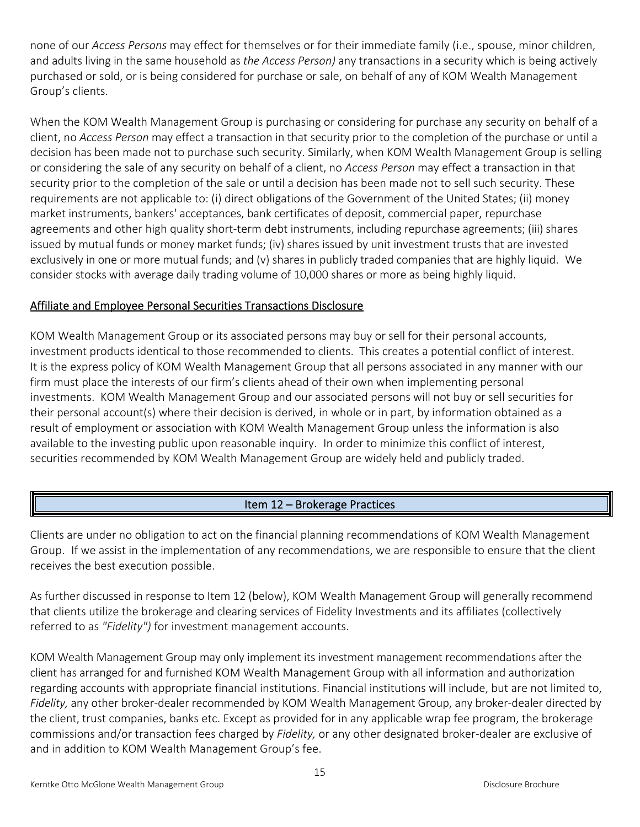none of our *Access Persons* may effect for themselves or for their immediate family (i.e., spouse, minor children, and adults living in the same household as *the Access Person)* any transactions in a security which is being actively purchased or sold, or is being considered for purchase or sale, on behalf of any of KOM Wealth Management Group's clients.

When the KOM Wealth Management Group is purchasing or considering for purchase any security on behalf of a client, no *Access Person* may effect a transaction in that security prior to the completion of the purchase or until a decision has been made not to purchase such security. Similarly, when KOM Wealth Management Group is selling or considering the sale of any security on behalf of a client, no *Access Person* may effect a transaction in that security prior to the completion of the sale or until a decision has been made not to sell such security. These requirements are not applicable to: (i) direct obligations of the Government of the United States; (ii) money market instruments, bankers' acceptances, bank certificates of deposit, commercial paper, repurchase agreements and other high quality short-term debt instruments, including repurchase agreements; (iii) shares issued by mutual funds or money market funds; (iv) shares issued by unit investment trusts that are invested exclusively in one or more mutual funds; and (v) shares in publicly traded companies that are highly liquid. We consider stocks with average daily trading volume of 10,000 shares or more as being highly liquid.

# Affiliate and Employee Personal Securities Transactions Disclosure

KOM Wealth Management Group or its associated persons may buy or sell for their personal accounts, investment products identical to those recommended to clients. This creates a potential conflict of interest. It is the express policy of KOM Wealth Management Group that all persons associated in any manner with our firm must place the interests of our firm's clients ahead of their own when implementing personal investments. KOM Wealth Management Group and our associated persons will not buy or sell securities for their personal account(s) where their decision is derived, in whole or in part, by information obtained as a result of employment or association with KOM Wealth Management Group unless the information is also available to the investing public upon reasonable inquiry. In order to minimize this conflict of interest, securities recommended by KOM Wealth Management Group are widely held and publicly traded.

# Item 12 – Brokerage Practices

Clients are under no obligation to act on the financial planning recommendations of KOM Wealth Management Group. If we assist in the implementation of any recommendations, we are responsible to ensure that the client receives the best execution possible.

As further discussed in response to Item 12 (below), KOM Wealth Management Group will generally recommend that clients utilize the brokerage and clearing services of Fidelity Investments and its affiliates (collectively referred to as *"Fidelity")* for investment management accounts.

KOM Wealth Management Group may only implement its investment management recommendations after the client has arranged for and furnished KOM Wealth Management Group with all information and authorization regarding accounts with appropriate financial institutions. Financial institutions will include, but are not limited to, Fidelity, any other broker-dealer recommended by KOM Wealth Management Group, any broker-dealer directed by the client, trust companies, banks etc. Except as provided for in any applicable wrap fee program, the brokerage commissions and/or transaction fees charged by *Fidelity,* or any other designated broker‐dealer are exclusive of and in addition to KOM Wealth Management Group's fee.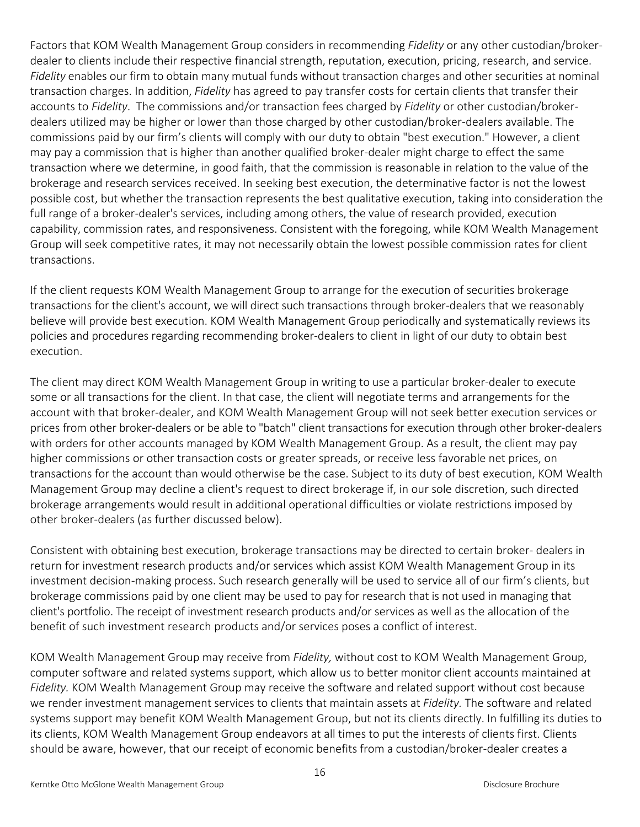Factors that KOM Wealth Management Group considers in recommending *Fidelity* or any other custodian/broker‐ dealer to clients include their respective financial strength, reputation, execution, pricing, research, and service. *Fidelity* enables our firm to obtain many mutual funds without transaction charges and other securities at nominal transaction charges. In addition, *Fidelity* has agreed to pay transfer costs for certain clients that transfer their accounts to *Fidelity*. The commissions and/or transaction fees charged by *Fidelity* or other custodian/broker‐ dealers utilized may be higher or lower than those charged by other custodian/broker‐dealers available. The commissions paid by our firm's clients will comply with our duty to obtain "best execution." However, a client may pay a commission that is higher than another qualified broker‐dealer might charge to effect the same transaction where we determine, in good faith, that the commission is reasonable in relation to the value of the brokerage and research services received. In seeking best execution, the determinative factor is not the lowest possible cost, but whether the transaction represents the best qualitative execution, taking into consideration the full range of a broker-dealer's services, including among others, the value of research provided, execution capability, commission rates, and responsiveness. Consistent with the foregoing, while KOM Wealth Management Group will seek competitive rates, it may not necessarily obtain the lowest possible commission rates for client transactions.

If the client requests KOM Wealth Management Group to arrange for the execution of securities brokerage transactions for the client's account, we will direct such transactions through broker‐dealers that we reasonably believe will provide best execution. KOM Wealth Management Group periodically and systematically reviews its policies and procedures regarding recommending broker‐dealers to client in light of our duty to obtain best execution.

The client may direct KOM Wealth Management Group in writing to use a particular broker‐dealer to execute some or all transactions for the client. In that case, the client will negotiate terms and arrangements for the account with that broker‐dealer, and KOM Wealth Management Group will not seek better execution services or prices from other broker‐dealers or be able to "batch" client transactions for execution through other broker‐dealers with orders for other accounts managed by KOM Wealth Management Group. As a result, the client may pay higher commissions or other transaction costs or greater spreads, or receive less favorable net prices, on transactions for the account than would otherwise be the case. Subject to its duty of best execution, KOM Wealth Management Group may decline a client's request to direct brokerage if, in our sole discretion, such directed brokerage arrangements would result in additional operational difficulties or violate restrictions imposed by other broker‐dealers (as further discussed below).

Consistent with obtaining best execution, brokerage transactions may be directed to certain broker‐ dealers in return for investment research products and/or services which assist KOM Wealth Management Group in its investment decision‐making process. Such research generally will be used to service all of our firm's clients, but brokerage commissions paid by one client may be used to pay for research that is not used in managing that client's portfolio. The receipt of investment research products and/or services as well as the allocation of the benefit of such investment research products and/or services poses a conflict of interest.

KOM Wealth Management Group may receive from *Fidelity,* without cost to KOM Wealth Management Group, computer software and related systems support, which allow us to better monitor client accounts maintained at *Fidelity.* KOM Wealth Management Group may receive the software and related support without cost because we render investment management services to clients that maintain assets at *Fidelity.* The software and related systems support may benefit KOM Wealth Management Group, but not its clients directly. In fulfilling its duties to its clients, KOM Wealth Management Group endeavors at all times to put the interests of clients first. Clients should be aware, however, that our receipt of economic benefits from a custodian/broker‐dealer creates a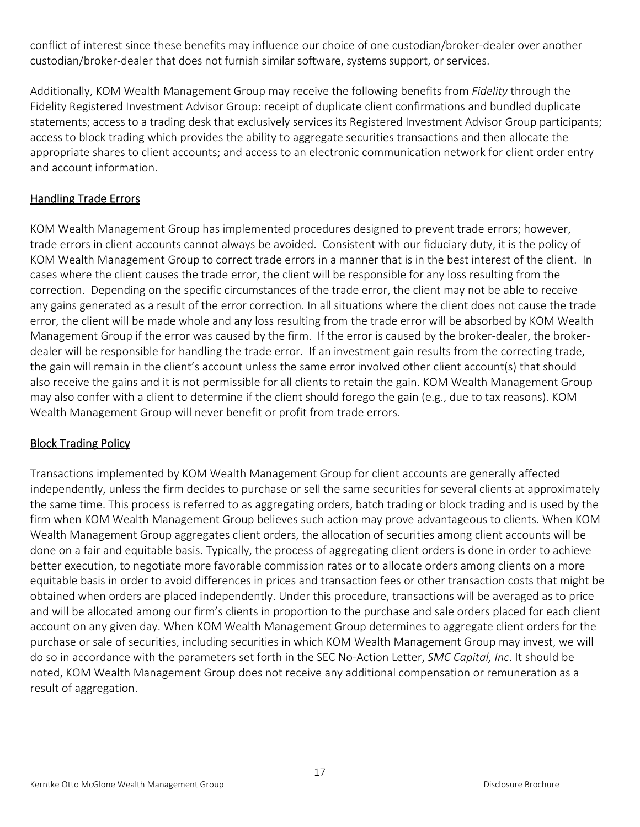conflict of interest since these benefits may influence our choice of one custodian/broker‐dealer over another custodian/broker‐dealer that does not furnish similar software, systems support, or services.

Additionally, KOM Wealth Management Group may receive the following benefits from *Fidelity* through the Fidelity Registered Investment Advisor Group: receipt of duplicate client confirmations and bundled duplicate statements; access to a trading desk that exclusively services its Registered Investment Advisor Group participants; access to block trading which provides the ability to aggregate securities transactions and then allocate the appropriate shares to client accounts; and access to an electronic communication network for client order entry and account information.

# Handling Trade Errors

KOM Wealth Management Group has implemented procedures designed to prevent trade errors; however, trade errors in client accounts cannot always be avoided. Consistent with our fiduciary duty, it is the policy of KOM Wealth Management Group to correct trade errors in a manner that is in the best interest of the client. In cases where the client causes the trade error, the client will be responsible for any loss resulting from the correction. Depending on the specific circumstances of the trade error, the client may not be able to receive any gains generated as a result of the error correction. In all situations where the client does not cause the trade error, the client will be made whole and any loss resulting from the trade error will be absorbed by KOM Wealth Management Group if the error was caused by the firm. If the error is caused by the broker‐dealer, the broker‐ dealer will be responsible for handling the trade error. If an investment gain results from the correcting trade, the gain will remain in the client's account unless the same error involved other client account(s) that should also receive the gains and it is not permissible for all clients to retain the gain. KOM Wealth Management Group may also confer with a client to determine if the client should forego the gain (e.g., due to tax reasons). KOM Wealth Management Group will never benefit or profit from trade errors.

# **Block Trading Policy**

Transactions implemented by KOM Wealth Management Group for client accounts are generally affected independently, unless the firm decides to purchase or sell the same securities for several clients at approximately the same time. This process is referred to as aggregating orders, batch trading or block trading and is used by the firm when KOM Wealth Management Group believes such action may prove advantageous to clients. When KOM Wealth Management Group aggregates client orders, the allocation of securities among client accounts will be done on a fair and equitable basis. Typically, the process of aggregating client orders is done in order to achieve better execution, to negotiate more favorable commission rates or to allocate orders among clients on a more equitable basis in order to avoid differences in prices and transaction fees or other transaction costs that might be obtained when orders are placed independently. Under this procedure, transactions will be averaged as to price and will be allocated among our firm's clients in proportion to the purchase and sale orders placed for each client account on any given day. When KOM Wealth Management Group determines to aggregate client orders for the purchase or sale of securities, including securities in which KOM Wealth Management Group may invest, we will do so in accordance with the parameters set forth in the SEC No‐Action Letter, *SMC Capital, Inc*. It should be noted, KOM Wealth Management Group does not receive any additional compensation or remuneration as a result of aggregation.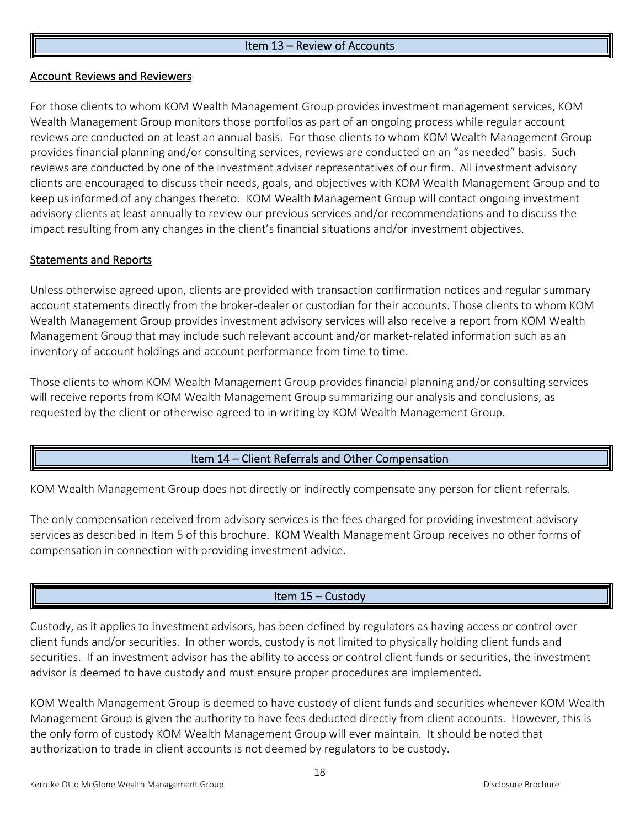#### Item 13 – Review of Accounts

#### Account Reviews and Reviewers

For those clients to whom KOM Wealth Management Group provides investment management services, KOM Wealth Management Group monitors those portfolios as part of an ongoing process while regular account reviews are conducted on at least an annual basis. For those clients to whom KOM Wealth Management Group provides financial planning and/or consulting services, reviews are conducted on an "as needed" basis. Such reviews are conducted by one of the investment adviser representatives of our firm. All investment advisory clients are encouraged to discuss their needs, goals, and objectives with KOM Wealth Management Group and to keep us informed of any changes thereto. KOM Wealth Management Group will contact ongoing investment advisory clients at least annually to review our previous services and/or recommendations and to discuss the impact resulting from any changes in the client's financial situations and/or investment objectives.

#### Statements and Reports

Unless otherwise agreed upon, clients are provided with transaction confirmation notices and regular summary account statements directly from the broker‐dealer or custodian for their accounts. Those clients to whom KOM Wealth Management Group provides investment advisory services will also receive a report from KOM Wealth Management Group that may include such relevant account and/or market-related information such as an inventory of account holdings and account performance from time to time.

Those clients to whom KOM Wealth Management Group provides financial planning and/or consulting services will receive reports from KOM Wealth Management Group summarizing our analysis and conclusions, as requested by the client or otherwise agreed to in writing by KOM Wealth Management Group.

#### Item 14 – Client Referrals and Other Compensation

KOM Wealth Management Group does not directly or indirectly compensate any person for client referrals.

The only compensation received from advisory services is the fees charged for providing investment advisory services as described in Item 5 of this brochure. KOM Wealth Management Group receives no other forms of compensation in connection with providing investment advice.

#### Item 15 – Custody

Custody, as it applies to investment advisors, has been defined by regulators as having access or control over client funds and/or securities. In other words, custody is not limited to physically holding client funds and securities. If an investment advisor has the ability to access or control client funds or securities, the investment advisor is deemed to have custody and must ensure proper procedures are implemented.

KOM Wealth Management Group is deemed to have custody of client funds and securities whenever KOM Wealth Management Group is given the authority to have fees deducted directly from client accounts. However, this is the only form of custody KOM Wealth Management Group will ever maintain. It should be noted that authorization to trade in client accounts is not deemed by regulators to be custody.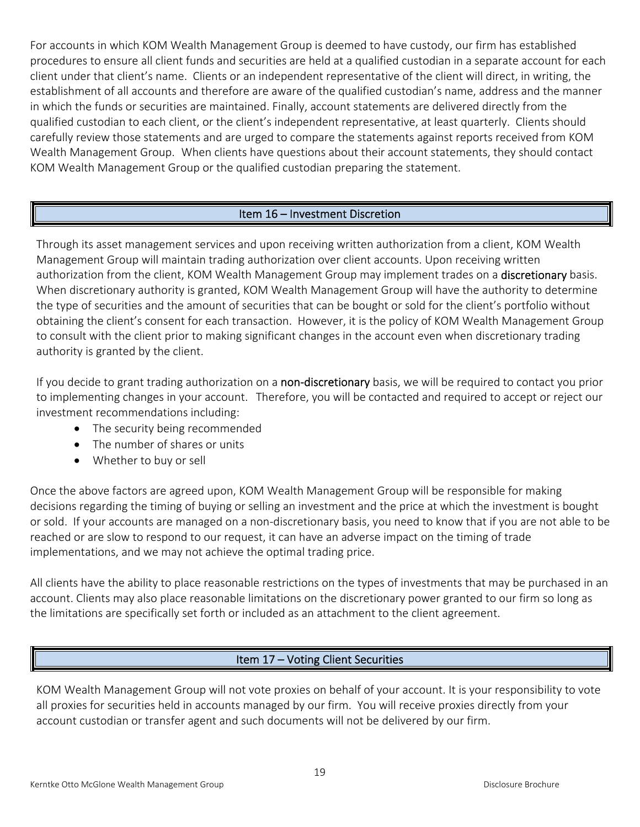For accounts in which KOM Wealth Management Group is deemed to have custody, our firm has established procedures to ensure all client funds and securities are held at a qualified custodian in a separate account for each client under that client's name. Clients or an independent representative of the client will direct, in writing, the establishment of all accounts and therefore are aware of the qualified custodian's name, address and the manner in which the funds or securities are maintained. Finally, account statements are delivered directly from the qualified custodian to each client, or the client's independent representative, at least quarterly. Clients should carefully review those statements and are urged to compare the statements against reports received from KOM Wealth Management Group. When clients have questions about their account statements, they should contact KOM Wealth Management Group or the qualified custodian preparing the statement.

# Item 16 – Investment Discretion

Through its asset management services and upon receiving written authorization from a client, KOM Wealth Management Group will maintain trading authorization over client accounts. Upon receiving written authorization from the client, KOM Wealth Management Group may implement trades on a discretionary basis. When discretionary authority is granted, KOM Wealth Management Group will have the authority to determine the type of securities and the amount of securities that can be bought or sold for the client's portfolio without obtaining the client's consent for each transaction. However, it is the policy of KOM Wealth Management Group to consult with the client prior to making significant changes in the account even when discretionary trading authority is granted by the client.

If you decide to grant trading authorization on a non-discretionary basis, we will be required to contact you prior to implementing changes in your account. Therefore, you will be contacted and required to accept or reject our investment recommendations including:

- The security being recommended
- The number of shares or units
- Whether to buy or sell

Once the above factors are agreed upon, KOM Wealth Management Group will be responsible for making decisions regarding the timing of buying or selling an investment and the price at which the investment is bought or sold. If your accounts are managed on a non‐discretionary basis, you need to know that if you are not able to be reached or are slow to respond to our request, it can have an adverse impact on the timing of trade implementations, and we may not achieve the optimal trading price.

All clients have the ability to place reasonable restrictions on the types of investments that may be purchased in an account. Clients may also place reasonable limitations on the discretionary power granted to our firm so long as the limitations are specifically set forth or included as an attachment to the client agreement.

# Item 17 – Voting Client Securities

KOM Wealth Management Group will not vote proxies on behalf of your account. It is your responsibility to vote all proxies for securities held in accounts managed by our firm. You will receive proxies directly from your account custodian or transfer agent and such documents will not be delivered by our firm.